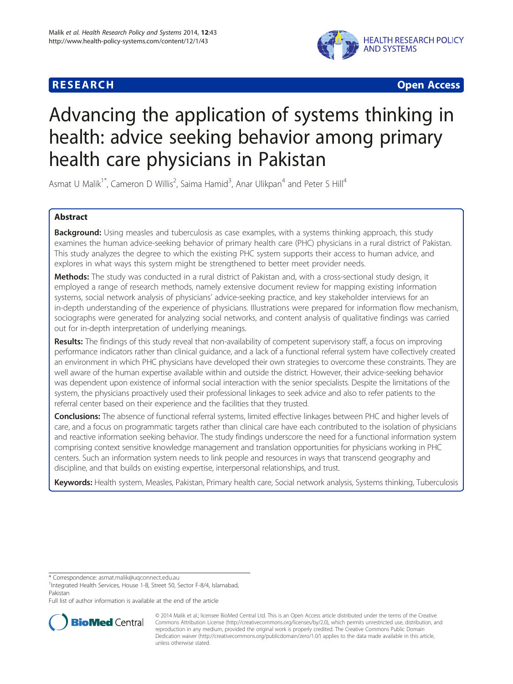

**RESEARCH CHEAR CHEAR CHEAR CHEAR CHEAR CHEAR CHEAR CHEAR CHEAR CHEAR CHEAR CHEAR CHEAR CHEAR CHEAR CHEAR CHEAR** 

# Advancing the application of systems thinking in health: advice seeking behavior among primary health care physicians in Pakistan

Asmat U Malik<sup>1\*</sup>, Cameron D Willis<sup>2</sup>, Saima Hamid<sup>3</sup>, Anar Ulikpan<sup>4</sup> and Peter S Hill<sup>4</sup>

# Abstract

Background: Using measles and tuberculosis as case examples, with a systems thinking approach, this study examines the human advice-seeking behavior of primary health care (PHC) physicians in a rural district of Pakistan. This study analyzes the degree to which the existing PHC system supports their access to human advice, and explores in what ways this system might be strengthened to better meet provider needs.

Methods: The study was conducted in a rural district of Pakistan and, with a cross-sectional study design, it employed a range of research methods, namely extensive document review for mapping existing information systems, social network analysis of physicians' advice-seeking practice, and key stakeholder interviews for an in-depth understanding of the experience of physicians. Illustrations were prepared for information flow mechanism, sociographs were generated for analyzing social networks, and content analysis of qualitative findings was carried out for in-depth interpretation of underlying meanings.

Results: The findings of this study reveal that non-availability of competent supervisory staff, a focus on improving performance indicators rather than clinical guidance, and a lack of a functional referral system have collectively created an environment in which PHC physicians have developed their own strategies to overcome these constraints. They are well aware of the human expertise available within and outside the district. However, their advice-seeking behavior was dependent upon existence of informal social interaction with the senior specialists. Despite the limitations of the system, the physicians proactively used their professional linkages to seek advice and also to refer patients to the referral center based on their experience and the facilities that they trusted.

Conclusions: The absence of functional referral systems, limited effective linkages between PHC and higher levels of care, and a focus on programmatic targets rather than clinical care have each contributed to the isolation of physicians and reactive information seeking behavior. The study findings underscore the need for a functional information system comprising context sensitive knowledge management and translation opportunities for physicians working in PHC centers. Such an information system needs to link people and resources in ways that transcend geography and discipline, and that builds on existing expertise, interpersonal relationships, and trust.

Keywords: Health system, Measles, Pakistan, Primary health care, Social network analysis, Systems thinking, Tuberculosis

\* Correspondence: [asmat.malik@uqconnect.edu.au](mailto:asmat.malik@uqconnect.edu.au) <sup>1</sup>

Full list of author information is available at the end of the article



© 2014 Malik et al.; licensee BioMed Central Ltd. This is an Open Access article distributed under the terms of the Creative Commons Attribution License [\(http://creativecommons.org/licenses/by/2.0\)](http://creativecommons.org/licenses/by/2.0), which permits unrestricted use, distribution, and reproduction in any medium, provided the original work is properly credited. The Creative Commons Public Domain Dedication waiver [\(http://creativecommons.org/publicdomain/zero/1.0/](http://creativecommons.org/publicdomain/zero/1.0/)) applies to the data made available in this article, unless otherwise stated.

<sup>&</sup>lt;sup>1</sup>Integrated Health Services, House 1-B, Street 50, Sector F-8/4, Islamabad, Pakistan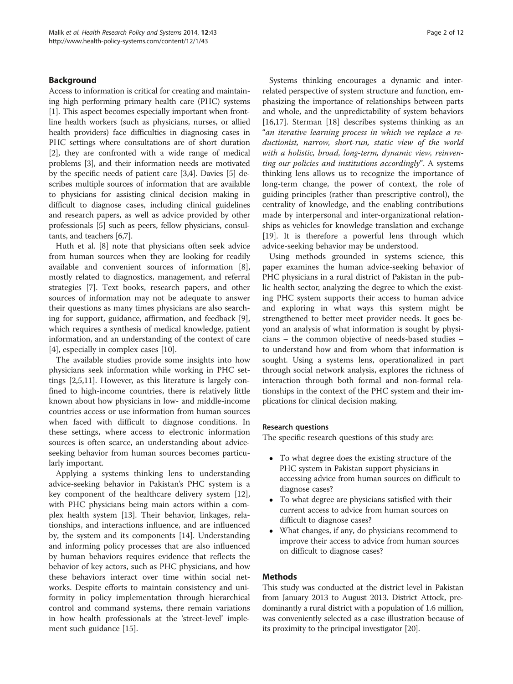# Background

Access to information is critical for creating and maintaining high performing primary health care (PHC) systems [[1\]](#page-11-0). This aspect becomes especially important when frontline health workers (such as physicians, nurses, or allied health providers) face difficulties in diagnosing cases in PHC settings where consultations are of short duration [[2\]](#page-11-0), they are confronted with a wide range of medical problems [\[3\]](#page-11-0), and their information needs are motivated by the specific needs of patient care [\[3,4](#page-11-0)]. Davies [[5\]](#page-11-0) describes multiple sources of information that are available to physicians for assisting clinical decision making in difficult to diagnose cases, including clinical guidelines and research papers, as well as advice provided by other professionals [[5\]](#page-11-0) such as peers, fellow physicians, consultants, and teachers [\[6,7\]](#page-11-0).

Huth et al. [\[8](#page-11-0)] note that physicians often seek advice from human sources when they are looking for readily available and convenient sources of information [\[8](#page-11-0)], mostly related to diagnostics, management, and referral strategies [\[7](#page-11-0)]. Text books, research papers, and other sources of information may not be adequate to answer their questions as many times physicians are also searching for support, guidance, affirmation, and feedback [\[9](#page-11-0)], which requires a synthesis of medical knowledge, patient information, and an understanding of the context of care [[4\]](#page-11-0), especially in complex cases [\[10\]](#page-11-0).

The available studies provide some insights into how physicians seek information while working in PHC settings [\[2](#page-11-0),[5](#page-11-0),[11](#page-11-0)]. However, as this literature is largely confined to high-income countries, there is relatively little known about how physicians in low- and middle-income countries access or use information from human sources when faced with difficult to diagnose conditions. In these settings, where access to electronic information sources is often scarce, an understanding about adviceseeking behavior from human sources becomes particularly important.

Applying a systems thinking lens to understanding advice-seeking behavior in Pakistan's PHC system is a key component of the healthcare delivery system [\[12](#page-11-0)], with PHC physicians being main actors within a complex health system [[13\]](#page-11-0). Their behavior, linkages, relationships, and interactions influence, and are influenced by, the system and its components [[14\]](#page-11-0). Understanding and informing policy processes that are also influenced by human behaviors requires evidence that reflects the behavior of key actors, such as PHC physicians, and how these behaviors interact over time within social networks. Despite efforts to maintain consistency and uniformity in policy implementation through hierarchical control and command systems, there remain variations in how health professionals at the 'street-level' implement such guidance [\[15\]](#page-11-0).

Systems thinking encourages a dynamic and interrelated perspective of system structure and function, emphasizing the importance of relationships between parts and whole, and the unpredictability of system behaviors [[16,17\]](#page-11-0). Sterman [[18](#page-11-0)] describes systems thinking as an "an iterative learning process in which we replace a reductionist, narrow, short-run, static view of the world with a holistic, broad, long-term, dynamic view, reinventing our policies and institutions accordingly". A systems thinking lens allows us to recognize the importance of long-term change, the power of context, the role of guiding principles (rather than prescriptive control), the centrality of knowledge, and the enabling contributions made by interpersonal and inter-organizational relationships as vehicles for knowledge translation and exchange [[19\]](#page-11-0). It is therefore a powerful lens through which advice-seeking behavior may be understood.

Using methods grounded in systems science, this paper examines the human advice-seeking behavior of PHC physicians in a rural district of Pakistan in the public health sector, analyzing the degree to which the existing PHC system supports their access to human advice and exploring in what ways this system might be strengthened to better meet provider needs. It goes beyond an analysis of what information is sought by physicians – the common objective of needs-based studies – to understand how and from whom that information is sought. Using a systems lens, operationalized in part through social network analysis, explores the richness of interaction through both formal and non-formal relationships in the context of the PHC system and their implications for clinical decision making.

#### Research questions

The specific research questions of this study are:

- To what degree does the existing structure of the PHC system in Pakistan support physicians in accessing advice from human sources on difficult to diagnose cases?
- To what degree are physicians satisfied with their current access to advice from human sources on difficult to diagnose cases?
- What changes, if any, do physicians recommend to improve their access to advice from human sources on difficult to diagnose cases?

## Methods

This study was conducted at the district level in Pakistan from January 2013 to August 2013. District Attock, predominantly a rural district with a population of 1.6 million, was conveniently selected as a case illustration because of its proximity to the principal investigator [\[20\]](#page-11-0).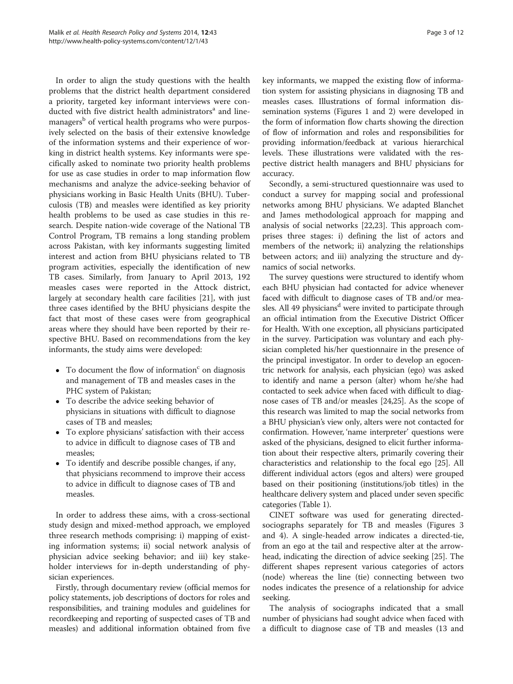In order to align the study questions with the health problems that the district health department considered a priority, targeted key informant interviews were conducted with five district health administrators<sup>a</sup> and linemanagers<sup>b</sup> of vertical health programs who were purposively selected on the basis of their extensive knowledge of the information systems and their experience of working in district health systems. Key informants were specifically asked to nominate two priority health problems for use as case studies in order to map information flow mechanisms and analyze the advice-seeking behavior of physicians working in Basic Health Units (BHU). Tuberculosis (TB) and measles were identified as key priority health problems to be used as case studies in this research. Despite nation-wide coverage of the National TB Control Program, TB remains a long standing problem across Pakistan, with key informants suggesting limited interest and action from BHU physicians related to TB program activities, especially the identification of new TB cases. Similarly, from January to April 2013, 192 measles cases were reported in the Attock district, largely at secondary health care facilities [[21\]](#page-11-0), with just three cases identified by the BHU physicians despite the fact that most of these cases were from geographical areas where they should have been reported by their respective BHU. Based on recommendations from the key informants, the study aims were developed:

- To document the flow of information $\epsilon$  on diagnosis and management of TB and measles cases in the PHC system of Pakistan;
- To describe the advice seeking behavior of physicians in situations with difficult to diagnose cases of TB and measles;
- To explore physicians' satisfaction with their access to advice in difficult to diagnose cases of TB and measles;
- To identify and describe possible changes, if any, that physicians recommend to improve their access to advice in difficult to diagnose cases of TB and measles.

In order to address these aims, with a cross-sectional study design and mixed-method approach, we employed three research methods comprising: i) mapping of existing information systems; ii) social network analysis of physician advice seeking behavior; and iii) key stakeholder interviews for in-depth understanding of physician experiences.

Firstly, through documentary review (official memos for policy statements, job descriptions of doctors for roles and responsibilities, and training modules and guidelines for recordkeeping and reporting of suspected cases of TB and measles) and additional information obtained from five

key informants, we mapped the existing flow of information system for assisting physicians in diagnosing TB and measles cases. Illustrations of formal information dissemination systems (Figures [1](#page-3-0) and [2](#page-4-0)) were developed in the form of information flow charts showing the direction of flow of information and roles and responsibilities for providing information/feedback at various hierarchical levels. These illustrations were validated with the respective district health managers and BHU physicians for accuracy.

Secondly, a semi-structured questionnaire was used to conduct a survey for mapping social and professional networks among BHU physicians. We adapted Blanchet and James methodological approach for mapping and analysis of social networks [[22,23\]](#page-11-0). This approach comprises three stages: i) defining the list of actors and members of the network; ii) analyzing the relationships between actors; and iii) analyzing the structure and dynamics of social networks.

The survey questions were structured to identify whom each BHU physician had contacted for advice whenever faced with difficult to diagnose cases of TB and/or measles. All 49 physicians<sup>d</sup> were invited to participate through an official intimation from the Executive District Officer for Health. With one exception, all physicians participated in the survey. Participation was voluntary and each physician completed his/her questionnaire in the presence of the principal investigator. In order to develop an egocentric network for analysis, each physician (ego) was asked to identify and name a person (alter) whom he/she had contacted to seek advice when faced with difficult to diagnose cases of TB and/or measles [\[24,25](#page-11-0)]. As the scope of this research was limited to map the social networks from a BHU physician's view only, alters were not contacted for confirmation. However, 'name interpreter' questions were asked of the physicians, designed to elicit further information about their respective alters, primarily covering their characteristics and relationship to the focal ego [\[25\]](#page-11-0). All different individual actors (egos and alters) were grouped based on their positioning (institutions/job titles) in the healthcare delivery system and placed under seven specific categories (Table [1](#page-5-0)).

CINET software was used for generating directedsociographs separately for TB and measles (Figures [3](#page-5-0) and [4](#page-6-0)). A single-headed arrow indicates a directed-tie, from an ego at the tail and respective alter at the arrowhead, indicating the direction of advice seeking [\[25](#page-11-0)]. The different shapes represent various categories of actors (node) whereas the line (tie) connecting between two nodes indicates the presence of a relationship for advice seeking.

The analysis of sociographs indicated that a small number of physicians had sought advice when faced with a difficult to diagnose case of TB and measles (13 and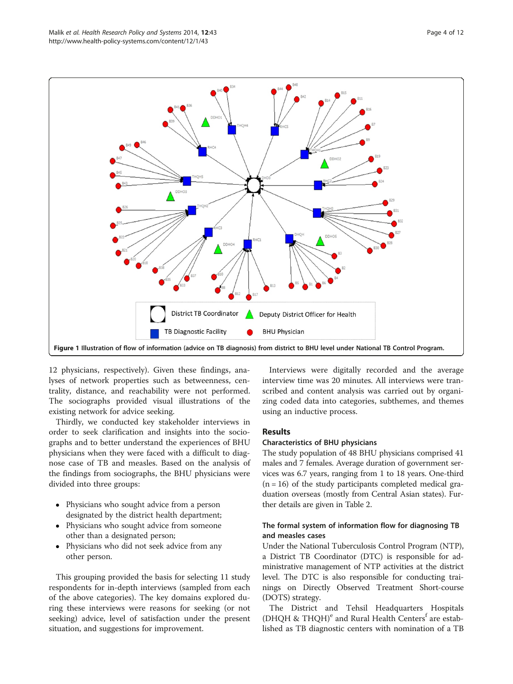<span id="page-3-0"></span>

12 physicians, respectively). Given these findings, analyses of network properties such as betweenness, centrality, distance, and reachability were not performed. The sociographs provided visual illustrations of the existing network for advice seeking.

Thirdly, we conducted key stakeholder interviews in order to seek clarification and insights into the sociographs and to better understand the experiences of BHU physicians when they were faced with a difficult to diagnose case of TB and measles. Based on the analysis of the findings from sociographs, the BHU physicians were divided into three groups:

- Physicians who sought advice from a person designated by the district health department;
- Physicians who sought advice from someone other than a designated person;
- Physicians who did not seek advice from any other person.

This grouping provided the basis for selecting 11 study respondents for in-depth interviews (sampled from each of the above categories). The key domains explored during these interviews were reasons for seeking (or not seeking) advice, level of satisfaction under the present situation, and suggestions for improvement.

Interviews were digitally recorded and the average interview time was 20 minutes. All interviews were transcribed and content analysis was carried out by organizing coded data into categories, subthemes, and themes using an inductive process.

# Results

# Characteristics of BHU physicians

The study population of 48 BHU physicians comprised 41 males and 7 females. Average duration of government services was 6.7 years, ranging from 1 to 18 years. One-third  $(n = 16)$  of the study participants completed medical graduation overseas (mostly from Central Asian states). Further details are given in Table [2.](#page-6-0)

# The formal system of information flow for diagnosing TB and measles cases

Under the National Tuberculosis Control Program (NTP), a District TB Coordinator (DTC) is responsible for administrative management of NTP activities at the district level. The DTC is also responsible for conducting trainings on Directly Observed Treatment Short-course (DOTS) strategy.

The District and Tehsil Headquarters Hospitals (DHQH & THQH) $^e$  and Rural Health Centers<sup>t</sup> are established as TB diagnostic centers with nomination of a TB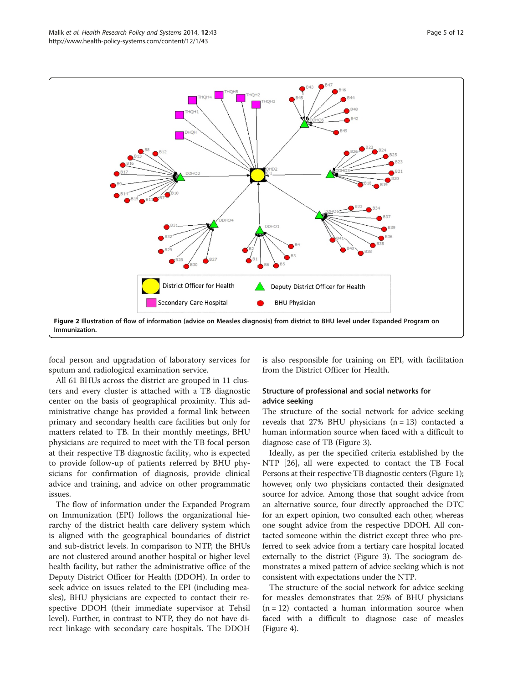<span id="page-4-0"></span>

focal person and upgradation of laboratory services for sputum and radiological examination service.

All 61 BHUs across the district are grouped in 11 clusters and every cluster is attached with a TB diagnostic center on the basis of geographical proximity. This administrative change has provided a formal link between primary and secondary health care facilities but only for matters related to TB. In their monthly meetings, BHU physicians are required to meet with the TB focal person at their respective TB diagnostic facility, who is expected to provide follow-up of patients referred by BHU physicians for confirmation of diagnosis, provide clinical advice and training, and advice on other programmatic issues.

The flow of information under the Expanded Program on Immunization (EPI) follows the organizational hierarchy of the district health care delivery system which is aligned with the geographical boundaries of district and sub-district levels. In comparison to NTP, the BHUs are not clustered around another hospital or higher level health facility, but rather the administrative office of the Deputy District Officer for Health (DDOH). In order to seek advice on issues related to the EPI (including measles), BHU physicians are expected to contact their respective DDOH (their immediate supervisor at Tehsil level). Further, in contrast to NTP, they do not have direct linkage with secondary care hospitals. The DDOH

is also responsible for training on EPI, with facilitation from the District Officer for Health.

# Structure of professional and social networks for advice seeking

The structure of the social network for advice seeking reveals that  $27\%$  BHU physicians (n = 13) contacted a human information source when faced with a difficult to diagnose case of TB (Figure [3](#page-5-0)).

Ideally, as per the specified criteria established by the NTP [[26\]](#page-11-0), all were expected to contact the TB Focal Persons at their respective TB diagnostic centers (Figure [1](#page-3-0)); however, only two physicians contacted their designated source for advice. Among those that sought advice from an alternative source, four directly approached the DTC for an expert opinion, two consulted each other, whereas one sought advice from the respective DDOH. All contacted someone within the district except three who preferred to seek advice from a tertiary care hospital located externally to the district (Figure [3](#page-5-0)). The sociogram demonstrates a mixed pattern of advice seeking which is not consistent with expectations under the NTP.

The structure of the social network for advice seeking for measles demonstrates that 25% of BHU physicians  $(n = 12)$  contacted a human information source when faced with a difficult to diagnose case of measles (Figure [4\)](#page-6-0).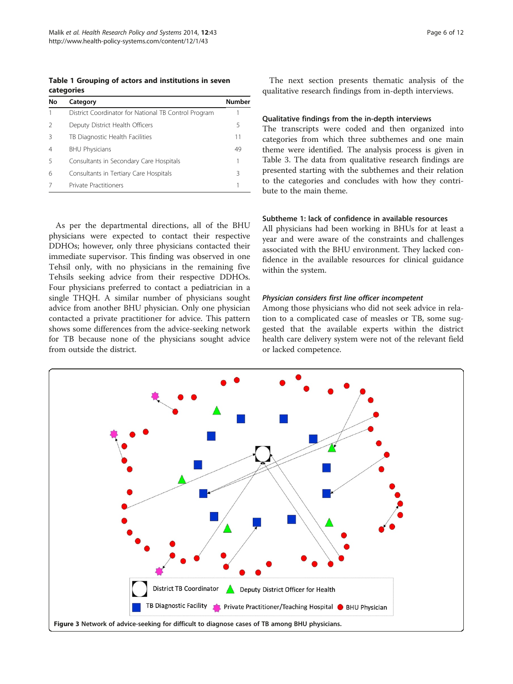<span id="page-5-0"></span>Table 1 Grouping of actors and institutions in seven categories

| No             | Category                                             | Number |
|----------------|------------------------------------------------------|--------|
|                | District Coordinator for National TB Control Program |        |
|                | Deputy District Health Officers                      | 5      |
| Β              | TB Diagnostic Health Facilities                      | 11     |
| $\overline{4}$ | <b>BHU Physicians</b>                                | 49     |
| 5              | Consultants in Secondary Care Hospitals              |        |
| 6              | Consultants in Tertiary Care Hospitals               | 3      |
|                | Private Practitioners                                |        |

As per the departmental directions, all of the BHU physicians were expected to contact their respective DDHOs; however, only three physicians contacted their immediate supervisor. This finding was observed in one Tehsil only, with no physicians in the remaining five Tehsils seeking advice from their respective DDHOs. Four physicians preferred to contact a pediatrician in a single THQH. A similar number of physicians sought advice from another BHU physician. Only one physician contacted a private practitioner for advice. This pattern shows some differences from the advice-seeking network for TB because none of the physicians sought advice from outside the district.

The next section presents thematic analysis of the qualitative research findings from in-depth interviews.

# Qualitative findings from the in-depth interviews

The transcripts were coded and then organized into categories from which three subthemes and one main theme were identified. The analysis process is given in Table [3.](#page-7-0) The data from qualitative research findings are presented starting with the subthemes and their relation to the categories and concludes with how they contribute to the main theme.

# Subtheme 1: lack of confidence in available resources

All physicians had been working in BHUs for at least a year and were aware of the constraints and challenges associated with the BHU environment. They lacked confidence in the available resources for clinical guidance within the system.

#### Physician considers first line officer incompetent

Among those physicians who did not seek advice in relation to a complicated case of measles or TB, some suggested that the available experts within the district health care delivery system were not of the relevant field or lacked competence.

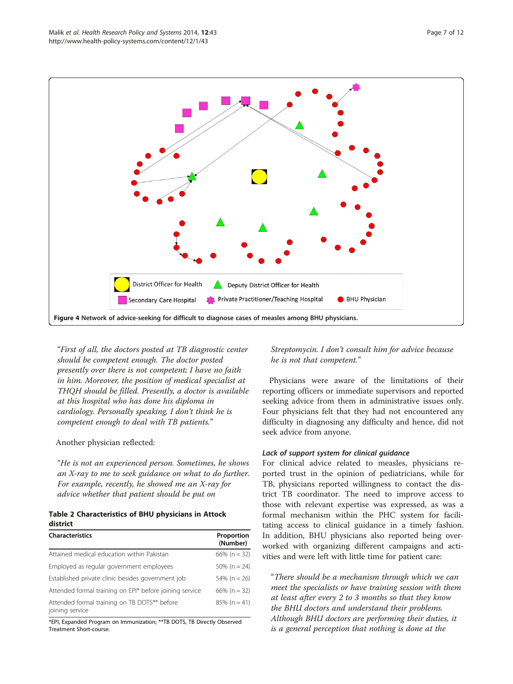<span id="page-6-0"></span>

Figure 4 Network of advice-seeking for difficult to diagnose cases of measles among BHU physicians.

"First of all, the doctors posted at TB diagnostic center should be competent enough. The doctor posted presently over there is not competent; I have no faith in him. Moreover, the position of medical specialist at THQH should be filled. Presently, a doctor is available at this hospital who has done his diploma in cardiology. Personally speaking, I don't think he is competent enough to deal with TB patients."

#### Another physician reflected:

"He is not an experienced person. Sometimes, he shows an X-ray to me to seek guidance on what to do further. For example, recently, he showed me an X-ray for advice whether that patient should be put on

# Table 2 Characteristics of BHU physicians in Attock district

| <b>Characteristics</b>                                          | Proportion<br>(Number) |
|-----------------------------------------------------------------|------------------------|
| Attained medical education within Pakistan                      | 66% ( $n = 32$ )       |
| Employed as regular government employees                        | 50% ( $n = 24$ )       |
| Established private clinic besides government job               | $54\%$ (n = 26)        |
| Attended formal training on EPI* before joining service         | $66\%$ (n = 32)        |
| Attended formal training on TB DOTS** before<br>joining service | $85\%$ (n = 41)        |

\*EPI, Expanded Program on Immunization; \*\*TB DOTS, TB Directly Observed Treatment Short-course.

Streptomycin. I don't consult him for advice because he is not that competent."

Physicians were aware of the limitations of their reporting officers or immediate supervisors and reported seeking advice from them in administrative issues only. Four physicians felt that they had not encountered any difficulty in diagnosing any difficulty and hence, did not seek advice from anyone.

#### Lack of support system for clinical guidance

For clinical advice related to measles, physicians reported trust in the opinion of pediatricians, while for TB, physicians reported willingness to contact the district TB coordinator. The need to improve access to those with relevant expertise was expressed, as was a formal mechanism within the PHC system for facilitating access to clinical guidance in a timely fashion. In addition, BHU physicians also reported being overworked with organizing different campaigns and activities and were left with little time for patient care:

"There should be a mechanism through which we can meet the specialists or have training session with them at least after every 2 to 3 months so that they know the BHU doctors and understand their problems. Although BHU doctors are performing their duties, it is a general perception that nothing is done at the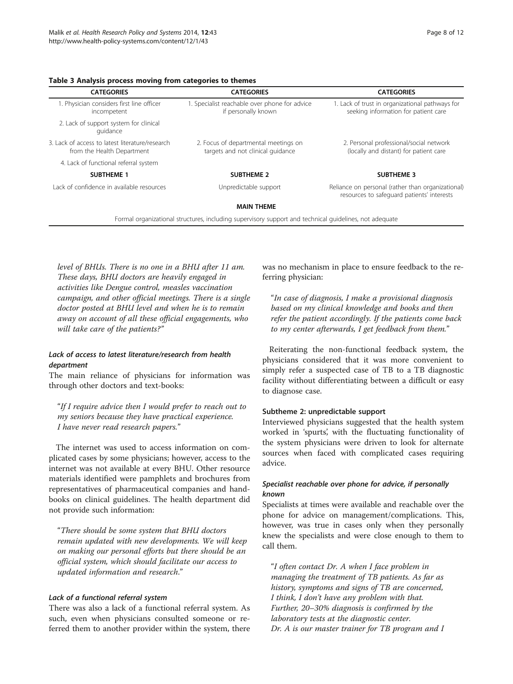<span id="page-7-0"></span>

| <b>CATEGORIES</b>                                                             | <b>CATEGORIES</b>                                                         | <b>CATEGORIES</b>                                                                               |
|-------------------------------------------------------------------------------|---------------------------------------------------------------------------|-------------------------------------------------------------------------------------------------|
| 1. Physician considers first line officer<br>incompetent                      | 1. Specialist reachable over phone for advice<br>if personally known      | 1. Lack of trust in organizational pathways for<br>seeking information for patient care         |
| 2. Lack of support system for clinical<br>quidance                            |                                                                           |                                                                                                 |
| 3. Lack of access to latest literature/research<br>from the Health Department | 2. Focus of departmental meetings on<br>targets and not clinical guidance | 2. Personal professional/social network<br>(locally and distant) for patient care               |
| 4. Lack of functional referral system                                         |                                                                           |                                                                                                 |
| <b>SUBTHEME 1</b>                                                             | <b>SURTHEME 2</b>                                                         | <b>SUBTHEME 3</b>                                                                               |
| Lack of confidence in available resources                                     | Unpredictable support                                                     | Reliance on personal (rather than organizational)<br>resources to safequard patients' interests |
|                                                                               | <b>MAIN THEME</b>                                                         |                                                                                                 |

Formal organizational structures, including supervisory support and technical guidelines, not adequate

level of BHUs. There is no one in a BHU after 11 am. These days, BHU doctors are heavily engaged in activities like Dengue control, measles vaccination campaign, and other official meetings. There is a single doctor posted at BHU level and when he is to remain away on account of all these official engagements, who will take care of the patients?"

# Lack of access to latest literature/research from health department

The main reliance of physicians for information was through other doctors and text-books:

"If I require advice then I would prefer to reach out to my seniors because they have practical experience. I have never read research papers."

The internet was used to access information on complicated cases by some physicians; however, access to the internet was not available at every BHU. Other resource materials identified were pamphlets and brochures from representatives of pharmaceutical companies and handbooks on clinical guidelines. The health department did not provide such information:

"There should be some system that BHU doctors remain updated with new developments. We will keep on making our personal efforts but there should be an official system, which should facilitate our access to updated information and research."

# Lack of a functional referral system

There was also a lack of a functional referral system. As such, even when physicians consulted someone or referred them to another provider within the system, there

was no mechanism in place to ensure feedback to the referring physician:

"In case of diagnosis, I make a provisional diagnosis based on my clinical knowledge and books and then refer the patient accordingly. If the patients come back to my center afterwards, I get feedback from them."

Reiterating the non-functional feedback system, the physicians considered that it was more convenient to simply refer a suspected case of TB to a TB diagnostic facility without differentiating between a difficult or easy to diagnose case.

## Subtheme 2: unpredictable support

Interviewed physicians suggested that the health system worked in 'spurts', with the fluctuating functionality of the system physicians were driven to look for alternate sources when faced with complicated cases requiring advice.

# Specialist reachable over phone for advice, if personally known

Specialists at times were available and reachable over the phone for advice on management/complications. This, however, was true in cases only when they personally knew the specialists and were close enough to them to call them.

"I often contact Dr. A when I face problem in managing the treatment of TB patients. As far as history, symptoms and signs of TB are concerned, I think, I don't have any problem with that. Further, 20–30% diagnosis is confirmed by the laboratory tests at the diagnostic center. Dr. A is our master trainer for TB program and I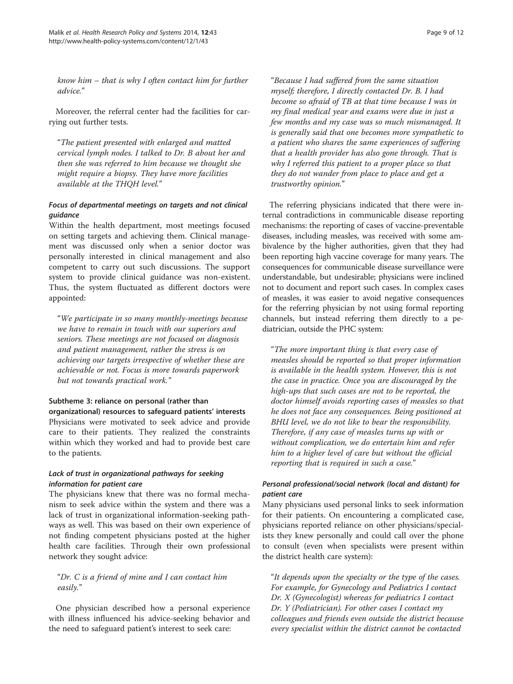know him – that is why I often contact him for further advice."

Moreover, the referral center had the facilities for carrying out further tests.

"The patient presented with enlarged and matted cervical lymph nodes. I talked to Dr. B about her and then she was referred to him because we thought she might require a biopsy. They have more facilities available at the THQH level."

# Focus of departmental meetings on targets and not clinical guidance

Within the health department, most meetings focused on setting targets and achieving them. Clinical management was discussed only when a senior doctor was personally interested in clinical management and also competent to carry out such discussions. The support system to provide clinical guidance was non-existent. Thus, the system fluctuated as different doctors were appointed:

"We participate in so many monthly-meetings because we have to remain in touch with our superiors and seniors. These meetings are not focused on diagnosis and patient management, rather the stress is on achieving our targets irrespective of whether these are achievable or not. Focus is more towards paperwork but not towards practical work."

# Subtheme 3: reliance on personal (rather than organizational) resources to safeguard patients' interests

Physicians were motivated to seek advice and provide care to their patients. They realized the constraints within which they worked and had to provide best care to the patients.

# Lack of trust in organizational pathways for seeking information for patient care

The physicians knew that there was no formal mechanism to seek advice within the system and there was a lack of trust in organizational information-seeking pathways as well. This was based on their own experience of not finding competent physicians posted at the higher health care facilities. Through their own professional network they sought advice:

# "Dr. C is a friend of mine and I can contact him easily."

One physician described how a personal experience with illness influenced his advice-seeking behavior and the need to safeguard patient's interest to seek care:

"Because I had suffered from the same situation myself; therefore, I directly contacted Dr. B. I had become so afraid of TB at that time because I was in my final medical year and exams were due in just a few months and my case was so much mismanaged. It is generally said that one becomes more sympathetic to a patient who shares the same experiences of suffering that a health provider has also gone through. That is why I referred this patient to a proper place so that they do not wander from place to place and get a trustworthy opinion."

The referring physicians indicated that there were internal contradictions in communicable disease reporting mechanisms: the reporting of cases of vaccine-preventable diseases, including measles, was received with some ambivalence by the higher authorities, given that they had been reporting high vaccine coverage for many years. The consequences for communicable disease surveillance were understandable, but undesirable; physicians were inclined not to document and report such cases. In complex cases of measles, it was easier to avoid negative consequences for the referring physician by not using formal reporting channels, but instead referring them directly to a pediatrician, outside the PHC system:

"The more important thing is that every case of measles should be reported so that proper information is available in the health system. However, this is not the case in practice. Once you are discouraged by the high-ups that such cases are not to be reported, the doctor himself avoids reporting cases of measles so that he does not face any consequences. Being positioned at BHU level, we do not like to bear the responsibility. Therefore, if any case of measles turns up with or without complication, we do entertain him and refer him to a higher level of care but without the official reporting that is required in such a case."

# Personal professional/social network (local and distant) for patient care

Many physicians used personal links to seek information for their patients. On encountering a complicated case, physicians reported reliance on other physicians/specialists they knew personally and could call over the phone to consult (even when specialists were present within the district health care system):

"It depends upon the specialty or the type of the cases. For example, for Gynecology and Pediatrics I contact Dr. X (Gynecologist) whereas for pediatrics I contact Dr. Y (Pediatrician). For other cases I contact my colleagues and friends even outside the district because every specialist within the district cannot be contacted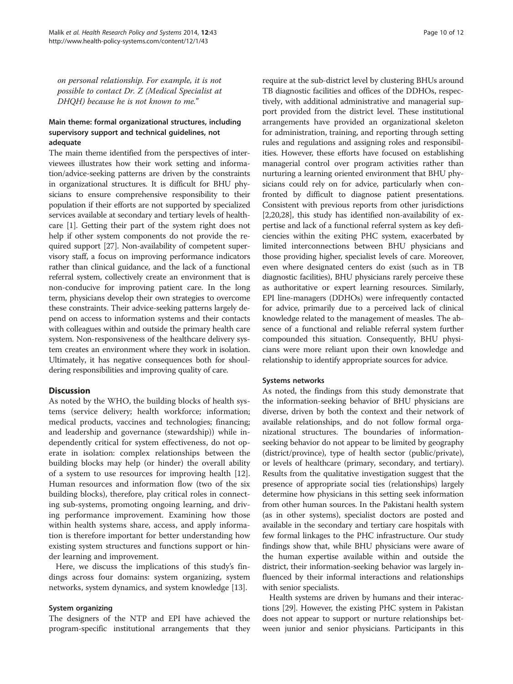on personal relationship. For example, it is not possible to contact Dr. Z (Medical Specialist at DHQH) because he is not known to me."

# Main theme: formal organizational structures, including supervisory support and technical guidelines, not adequate

The main theme identified from the perspectives of interviewees illustrates how their work setting and information/advice-seeking patterns are driven by the constraints in organizational structures. It is difficult for BHU physicians to ensure comprehensive responsibility to their population if their efforts are not supported by specialized services available at secondary and tertiary levels of healthcare [\[1](#page-11-0)]. Getting their part of the system right does not help if other system components do not provide the required support [\[27](#page-11-0)]. Non-availability of competent supervisory staff, a focus on improving performance indicators rather than clinical guidance, and the lack of a functional referral system, collectively create an environment that is non-conducive for improving patient care. In the long term, physicians develop their own strategies to overcome these constraints. Their advice-seeking patterns largely depend on access to information systems and their contacts with colleagues within and outside the primary health care system. Non-responsiveness of the healthcare delivery system creates an environment where they work in isolation. Ultimately, it has negative consequences both for shouldering responsibilities and improving quality of care.

# **Discussion**

As noted by the WHO, the building blocks of health systems (service delivery; health workforce; information; medical products, vaccines and technologies; financing; and leadership and governance (stewardship)) while independently critical for system effectiveness, do not operate in isolation: complex relationships between the building blocks may help (or hinder) the overall ability of a system to use resources for improving health [\[12](#page-11-0)]. Human resources and information flow (two of the six building blocks), therefore, play critical roles in connecting sub-systems, promoting ongoing learning, and driving performance improvement. Examining how those within health systems share, access, and apply information is therefore important for better understanding how existing system structures and functions support or hinder learning and improvement.

Here, we discuss the implications of this study's findings across four domains: system organizing, system networks, system dynamics, and system knowledge [[13\]](#page-11-0).

# System organizing

The designers of the NTP and EPI have achieved the program-specific institutional arrangements that they

require at the sub-district level by clustering BHUs around TB diagnostic facilities and offices of the DDHOs, respectively, with additional administrative and managerial support provided from the district level. These institutional arrangements have provided an organizational skeleton for administration, training, and reporting through setting rules and regulations and assigning roles and responsibilities. However, these efforts have focused on establishing managerial control over program activities rather than nurturing a learning oriented environment that BHU physicians could rely on for advice, particularly when confronted by difficult to diagnose patient presentations. Consistent with previous reports from other jurisdictions [[2,20,28](#page-11-0)], this study has identified non-availability of expertise and lack of a functional referral system as key deficiencies within the exiting PHC system, exacerbated by limited interconnections between BHU physicians and those providing higher, specialist levels of care. Moreover, even where designated centers do exist (such as in TB diagnostic facilities), BHU physicians rarely perceive these as authoritative or expert learning resources. Similarly, EPI line-managers (DDHOs) were infrequently contacted for advice, primarily due to a perceived lack of clinical knowledge related to the management of measles. The absence of a functional and reliable referral system further compounded this situation. Consequently, BHU physicians were more reliant upon their own knowledge and relationship to identify appropriate sources for advice.

#### Systems networks

As noted, the findings from this study demonstrate that the information-seeking behavior of BHU physicians are diverse, driven by both the context and their network of available relationships, and do not follow formal organizational structures. The boundaries of informationseeking behavior do not appear to be limited by geography (district/province), type of health sector (public/private), or levels of healthcare (primary, secondary, and tertiary). Results from the qualitative investigation suggest that the presence of appropriate social ties (relationships) largely determine how physicians in this setting seek information from other human sources. In the Pakistani health system (as in other systems), specialist doctors are posted and available in the secondary and tertiary care hospitals with few formal linkages to the PHC infrastructure. Our study findings show that, while BHU physicians were aware of the human expertise available within and outside the district, their information-seeking behavior was largely influenced by their informal interactions and relationships with senior specialists.

Health systems are driven by humans and their interactions [[29](#page-11-0)]. However, the existing PHC system in Pakistan does not appear to support or nurture relationships between junior and senior physicians. Participants in this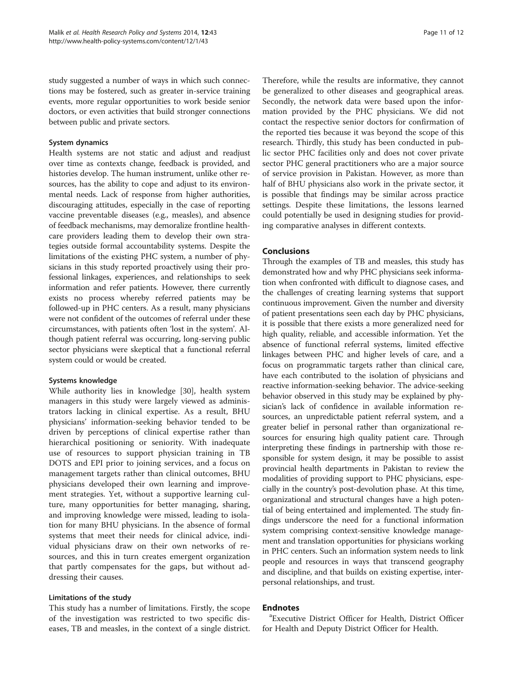study suggested a number of ways in which such connections may be fostered, such as greater in-service training events, more regular opportunities to work beside senior doctors, or even activities that build stronger connections between public and private sectors.

# System dynamics

Health systems are not static and adjust and readjust over time as contexts change, feedback is provided, and histories develop. The human instrument, unlike other resources, has the ability to cope and adjust to its environmental needs. Lack of response from higher authorities, discouraging attitudes, especially in the case of reporting vaccine preventable diseases (e.g., measles), and absence of feedback mechanisms, may demoralize frontline healthcare providers leading them to develop their own strategies outside formal accountability systems. Despite the limitations of the existing PHC system, a number of physicians in this study reported proactively using their professional linkages, experiences, and relationships to seek information and refer patients. However, there currently exists no process whereby referred patients may be followed-up in PHC centers. As a result, many physicians were not confident of the outcomes of referral under these circumstances, with patients often 'lost in the system'. Although patient referral was occurring, long-serving public sector physicians were skeptical that a functional referral system could or would be created.

#### Systems knowledge

While authority lies in knowledge [\[30](#page-11-0)], health system managers in this study were largely viewed as administrators lacking in clinical expertise. As a result, BHU physicians' information-seeking behavior tended to be driven by perceptions of clinical expertise rather than hierarchical positioning or seniority. With inadequate use of resources to support physician training in TB DOTS and EPI prior to joining services, and a focus on management targets rather than clinical outcomes, BHU physicians developed their own learning and improvement strategies. Yet, without a supportive learning culture, many opportunities for better managing, sharing, and improving knowledge were missed, leading to isolation for many BHU physicians. In the absence of formal systems that meet their needs for clinical advice, individual physicians draw on their own networks of resources, and this in turn creates emergent organization that partly compensates for the gaps, but without addressing their causes.

#### Limitations of the study

This study has a number of limitations. Firstly, the scope of the investigation was restricted to two specific diseases, TB and measles, in the context of a single district.

Therefore, while the results are informative, they cannot be generalized to other diseases and geographical areas. Secondly, the network data were based upon the information provided by the PHC physicians. We did not contact the respective senior doctors for confirmation of the reported ties because it was beyond the scope of this research. Thirdly, this study has been conducted in public sector PHC facilities only and does not cover private sector PHC general practitioners who are a major source of service provision in Pakistan. However, as more than half of BHU physicians also work in the private sector, it is possible that findings may be similar across practice settings. Despite these limitations, the lessons learned could potentially be used in designing studies for providing comparative analyses in different contexts.

# Conclusions

Through the examples of TB and measles, this study has demonstrated how and why PHC physicians seek information when confronted with difficult to diagnose cases, and the challenges of creating learning systems that support continuous improvement. Given the number and diversity of patient presentations seen each day by PHC physicians, it is possible that there exists a more generalized need for high quality, reliable, and accessible information. Yet the absence of functional referral systems, limited effective linkages between PHC and higher levels of care, and a focus on programmatic targets rather than clinical care, have each contributed to the isolation of physicians and reactive information-seeking behavior. The advice-seeking behavior observed in this study may be explained by physician's lack of confidence in available information resources, an unpredictable patient referral system, and a greater belief in personal rather than organizational resources for ensuring high quality patient care. Through interpreting these findings in partnership with those responsible for system design, it may be possible to assist provincial health departments in Pakistan to review the modalities of providing support to PHC physicians, especially in the country's post-devolution phase. At this time, organizational and structural changes have a high potential of being entertained and implemented. The study findings underscore the need for a functional information system comprising context-sensitive knowledge management and translation opportunities for physicians working in PHC centers. Such an information system needs to link people and resources in ways that transcend geography and discipline, and that builds on existing expertise, interpersonal relationships, and trust.

# **Endnotes**

Executive District Officer for Health, District Officer for Health and Deputy District Officer for Health.